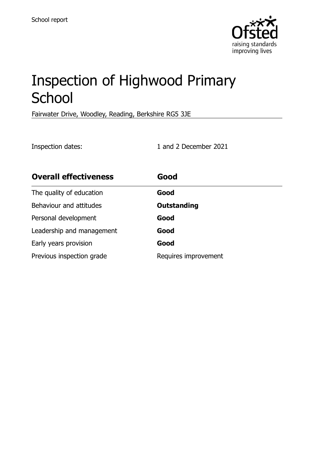

# Inspection of Highwood Primary **School**

Fairwater Drive, Woodley, Reading, Berkshire RG5 3JE

Inspection dates: 1 and 2 December 2021

| <b>Overall effectiveness</b> | Good                 |
|------------------------------|----------------------|
| The quality of education     | Good                 |
| Behaviour and attitudes      | <b>Outstanding</b>   |
| Personal development         | Good                 |
| Leadership and management    | Good                 |
| Early years provision        | Good                 |
| Previous inspection grade    | Requires improvement |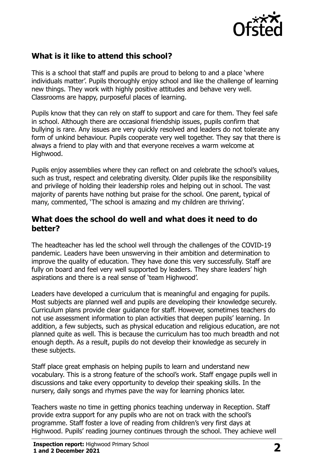

## **What is it like to attend this school?**

This is a school that staff and pupils are proud to belong to and a place 'where individuals matter'. Pupils thoroughly enjoy school and like the challenge of learning new things. They work with highly positive attitudes and behave very well. Classrooms are happy, purposeful places of learning.

Pupils know that they can rely on staff to support and care for them. They feel safe in school. Although there are occasional friendship issues, pupils confirm that bullying is rare. Any issues are very quickly resolved and leaders do not tolerate any form of unkind behaviour. Pupils cooperate very well together. They say that there is always a friend to play with and that everyone receives a warm welcome at Highwood.

Pupils enjoy assemblies where they can reflect on and celebrate the school's values, such as trust, respect and celebrating diversity. Older pupils like the responsibility and privilege of holding their leadership roles and helping out in school. The vast majority of parents have nothing but praise for the school. One parent, typical of many, commented, 'The school is amazing and my children are thriving'.

#### **What does the school do well and what does it need to do better?**

The headteacher has led the school well through the challenges of the COVID-19 pandemic. Leaders have been unswerving in their ambition and determination to improve the quality of education. They have done this very successfully. Staff are fully on board and feel very well supported by leaders. They share leaders' high aspirations and there is a real sense of 'team Highwood'.

Leaders have developed a curriculum that is meaningful and engaging for pupils. Most subjects are planned well and pupils are developing their knowledge securely. Curriculum plans provide clear guidance for staff. However, sometimes teachers do not use assessment information to plan activities that deepen pupils' learning. In addition, a few subjects, such as physical education and religious education, are not planned quite as well. This is because the curriculum has too much breadth and not enough depth. As a result, pupils do not develop their knowledge as securely in these subjects.

Staff place great emphasis on helping pupils to learn and understand new vocabulary. This is a strong feature of the school's work. Staff engage pupils well in discussions and take every opportunity to develop their speaking skills. In the nursery, daily songs and rhymes pave the way for learning phonics later.

Teachers waste no time in getting phonics teaching underway in Reception. Staff provide extra support for any pupils who are not on track with the school's programme. Staff foster a love of reading from children's very first days at Highwood. Pupils' reading journey continues through the school. They achieve well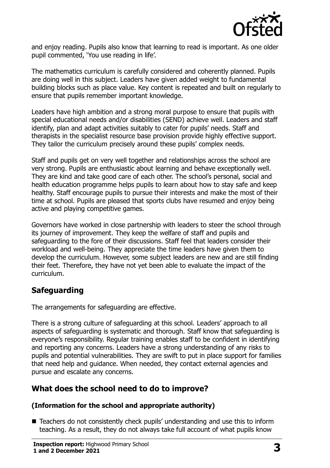

and enjoy reading. Pupils also know that learning to read is important. As one older pupil commented, 'You use reading in life'.

The mathematics curriculum is carefully considered and coherently planned. Pupils are doing well in this subject. Leaders have given added weight to fundamental building blocks such as place value. Key content is repeated and built on regularly to ensure that pupils remember important knowledge.

Leaders have high ambition and a strong moral purpose to ensure that pupils with special educational needs and/or disabilities (SEND) achieve well. Leaders and staff identify, plan and adapt activities suitably to cater for pupils' needs. Staff and therapists in the specialist resource base provision provide highly effective support. They tailor the curriculum precisely around these pupils' complex needs.

Staff and pupils get on very well together and relationships across the school are very strong. Pupils are enthusiastic about learning and behave exceptionally well. They are kind and take good care of each other. The school's personal, social and health education programme helps pupils to learn about how to stay safe and keep healthy. Staff encourage pupils to pursue their interests and make the most of their time at school. Pupils are pleased that sports clubs have resumed and enjoy being active and playing competitive games.

Governors have worked in close partnership with leaders to steer the school through its journey of improvement. They keep the welfare of staff and pupils and safeguarding to the fore of their discussions. Staff feel that leaders consider their workload and well-being. They appreciate the time leaders have given them to develop the curriculum. However, some subject leaders are new and are still finding their feet. Therefore, they have not yet been able to evaluate the impact of the curriculum.

## **Safeguarding**

The arrangements for safeguarding are effective.

There is a strong culture of safeguarding at this school. Leaders' approach to all aspects of safeguarding is systematic and thorough. Staff know that safeguarding is everyone's responsibility. Regular training enables staff to be confident in identifying and reporting any concerns. Leaders have a strong understanding of any risks to pupils and potential vulnerabilities. They are swift to put in place support for families that need help and guidance. When needed, they contact external agencies and pursue and escalate any concerns.

## **What does the school need to do to improve?**

#### **(Information for the school and appropriate authority)**

■ Teachers do not consistently check pupils' understanding and use this to inform teaching. As a result, they do not always take full account of what pupils know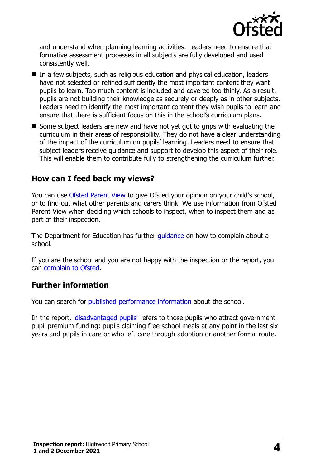

and understand when planning learning activities. Leaders need to ensure that formative assessment processes in all subjects are fully developed and used consistently well.

- In a few subjects, such as religious education and physical education, leaders have not selected or refined sufficiently the most important content they want pupils to learn. Too much content is included and covered too thinly. As a result, pupils are not building their knowledge as securely or deeply as in other subjects. Leaders need to identify the most important content they wish pupils to learn and ensure that there is sufficient focus on this in the school's curriculum plans.
- Some subject leaders are new and have not yet got to grips with evaluating the curriculum in their areas of responsibility. They do not have a clear understanding of the impact of the curriculum on pupils' learning. Leaders need to ensure that subject leaders receive guidance and support to develop this aspect of their role. This will enable them to contribute fully to strengthening the curriculum further.

### **How can I feed back my views?**

You can use [Ofsted Parent View](http://parentview.ofsted.gov.uk/) to give Ofsted your opinion on your child's school, or to find out what other parents and carers think. We use information from Ofsted Parent View when deciding which schools to inspect, when to inspect them and as part of their inspection.

The Department for Education has further quidance on how to complain about a school.

If you are the school and you are not happy with the inspection or the report, you can [complain to Ofsted.](http://www.gov.uk/complain-ofsted-report)

#### **Further information**

You can search for [published performance information](http://www.compare-school-performance.service.gov.uk/) about the school.

In the report, ['disadvantaged pupils'](http://www.gov.uk/guidance/pupil-premium-information-for-schools-and-alternative-provision-settings) refers to those pupils who attract government pupil premium funding: pupils claiming free school meals at any point in the last six years and pupils in care or who left care through adoption or another formal route.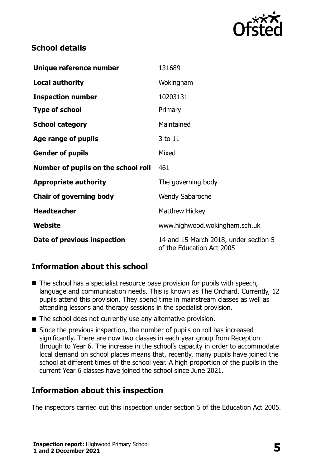

## **School details**

| Unique reference number             | 131689                                                             |  |
|-------------------------------------|--------------------------------------------------------------------|--|
| <b>Local authority</b>              | Wokingham                                                          |  |
| <b>Inspection number</b>            | 10203131                                                           |  |
| <b>Type of school</b>               | Primary                                                            |  |
| <b>School category</b>              | Maintained                                                         |  |
| Age range of pupils                 | 3 to 11                                                            |  |
| <b>Gender of pupils</b>             | Mixed                                                              |  |
| Number of pupils on the school roll | 461                                                                |  |
| <b>Appropriate authority</b>        | The governing body                                                 |  |
| <b>Chair of governing body</b>      | <b>Wendy Sabaroche</b>                                             |  |
| <b>Headteacher</b>                  | <b>Matthew Hickey</b>                                              |  |
| Website                             | www.highwood.wokingham.sch.uk                                      |  |
| Date of previous inspection         | 14 and 15 March 2018, under section 5<br>of the Education Act 2005 |  |

## **Information about this school**

- The school has a specialist resource base provision for pupils with speech, language and communication needs. This is known as The Orchard. Currently, 12 pupils attend this provision. They spend time in mainstream classes as well as attending lessons and therapy sessions in the specialist provision.
- The school does not currently use any alternative provision.
- Since the previous inspection, the number of pupils on roll has increased significantly. There are now two classes in each year group from Reception through to Year 6. The increase in the school's capacity in order to accommodate local demand on school places means that, recently, many pupils have joined the school at different times of the school year. A high proportion of the pupils in the current Year 6 classes have joined the school since June 2021.

## **Information about this inspection**

The inspectors carried out this inspection under section 5 of the Education Act 2005.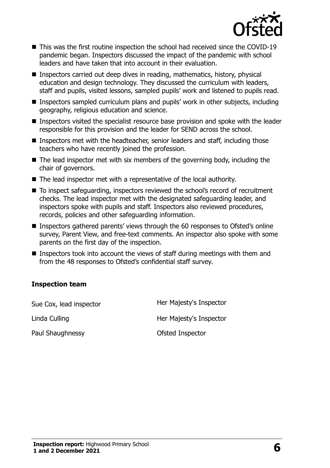

- This was the first routine inspection the school had received since the COVID-19 pandemic began. Inspectors discussed the impact of the pandemic with school leaders and have taken that into account in their evaluation.
- Inspectors carried out deep dives in reading, mathematics, history, physical education and design technology. They discussed the curriculum with leaders, staff and pupils, visited lessons, sampled pupils' work and listened to pupils read.
- Inspectors sampled curriculum plans and pupils' work in other subjects, including geography, religious education and science.
- Inspectors visited the specialist resource base provision and spoke with the leader responsible for this provision and the leader for SEND across the school.
- Inspectors met with the headteacher, senior leaders and staff, including those teachers who have recently joined the profession.
- The lead inspector met with six members of the governing body, including the chair of governors.
- The lead inspector met with a representative of the local authority.
- To inspect safeguarding, inspectors reviewed the school's record of recruitment checks. The lead inspector met with the designated safeguarding leader, and inspectors spoke with pupils and staff. Inspectors also reviewed procedures, records, policies and other safeguarding information.
- Inspectors gathered parents' views through the 60 responses to Ofsted's online survey, Parent View, and free-text comments. An inspector also spoke with some parents on the first day of the inspection.
- Inspectors took into account the views of staff during meetings with them and from the 48 responses to Ofsted's confidential staff survey.

#### **Inspection team**

| Sue Cox, lead inspector | Her Majesty's Inspector |
|-------------------------|-------------------------|
| Linda Culling           | Her Majesty's Inspector |
| Paul Shaughnessy        | Ofsted Inspector        |